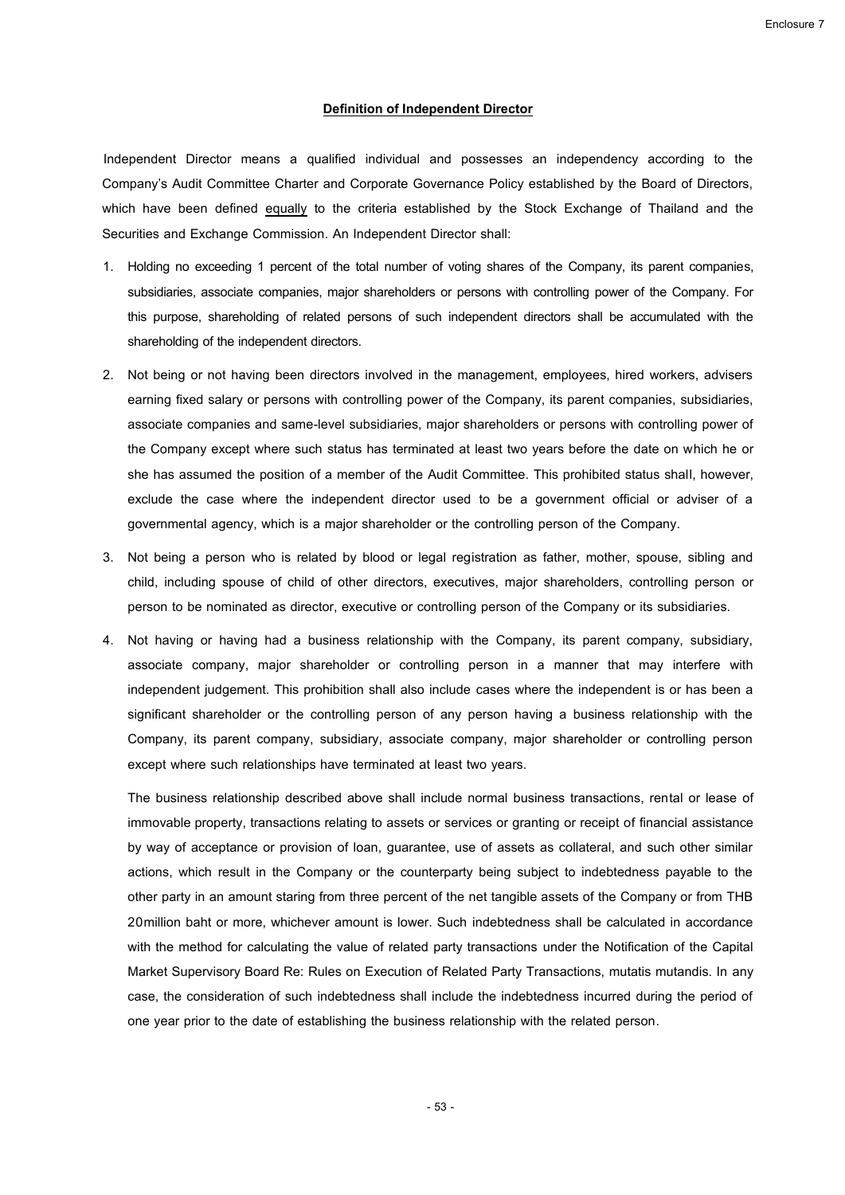## **Definition of Independent Director**

Independent Director means a qualified individual and possesses an independency according to the Company's Audit Committee Charter and Corporate Governance Policy established by the Board of Directors, which have been defined equally to the criteria established by the Stock Exchange of Thailand and the Securities and Exchange Commission. An Independent Director shall:

- 1. Holding no exceeding 1 percent of the total number of voting shares of the Company, its parent companies, subsidiaries, associate companies, major shareholders or persons with controlling power of the Company. For this purpose, shareholding of related persons of such independent directors shall be accumulated with the shareholding of the independent directors.
- 2. Not being or not having been directors involved in the management, employees, hired workers, advisers earning fixed salary or persons with controlling power of the Company, its parent companies, subsidiaries, associate companies and same-level subsidiaries, major shareholders or persons with controlling power of the Company except where such status has terminated at least two years before the date on which he or she has assumed the position of a member of the Audit Committee. This prohibited status shall, however, exclude the case where the independent director used to be a government official or adviser of a governmental agency, which is a major shareholder or the controlling person of the Company.
- 3. Not being a person who is related by blood or legal registration as father, mother, spouse, sibling and child, including spouse of child of other directors, executives, major shareholders, controlling person or person to be nominated as director, executive or controlling person of the Company or its subsidiaries.
- 4. Not having or having had a business relationship with the Company, its parent company, subsidiary, associate company, major shareholder or controlling person in a manner that may interfere with independent judgement. This prohibition shall also include cases where the independent is or has been a significant shareholder or the controlling person of any person having a business relationship with the Company, its parent company, subsidiary, associate company, major shareholder or controlling person except where such relationships have terminated at least two years.

The business relationship described above shall include normal business transactions, rental or lease of immovable property, transactions relating to assets or services or granting or receipt of financial assistance by way of acceptance or provision of loan, guarantee, use of assets as collateral, and such other similar actions, which result in the Company or the counterparty being subject to indebtedness payable to the other party in an amount staring from three percent of the net tangible assets of the Company or from THB 20million baht or more, whichever amount is lower. Such indebtedness shall be calculated in accordance with the method for calculating the value of related party transactions under the Notification of the Capital Market Supervisory Board Re: Rules on Execution of Related Party Transactions, mutatis mutandis. In any case, the consideration of such indebtedness shall include the indebtedness incurred during the period of one year prior to the date of establishing the business relationship with the related person.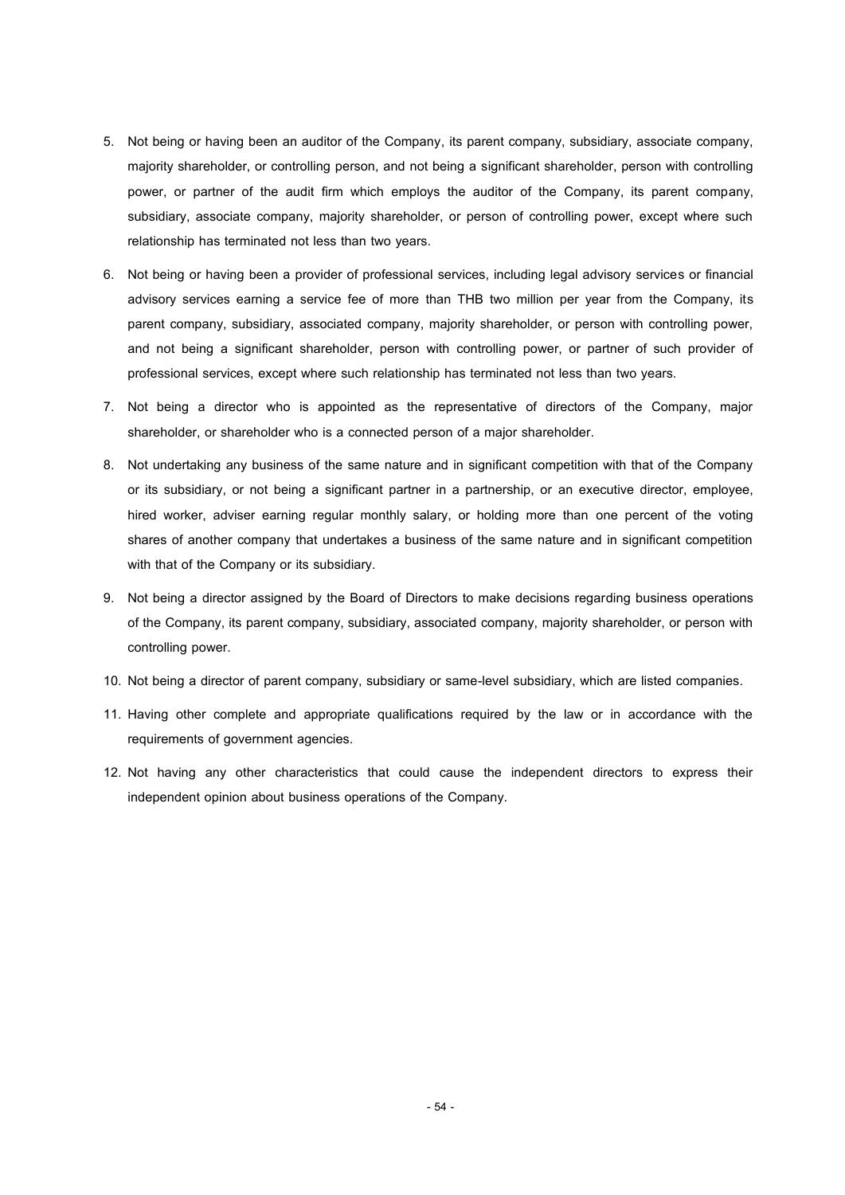- 5. Not being or having been an auditor of the Company, its parent company, subsidiary, associate company, majority shareholder, or controlling person, and not being a significant shareholder, person with controlling power, or partner of the audit firm which employs the auditor of the Company, its parent company, subsidiary, associate company, majority shareholder, or person of controlling power, except where such relationship has terminated not less than two years.
- 6. Not being or having been a provider of professional services, including legal advisory services or financial advisory services earning a service fee of more than THB two million per year from the Company, its parent company, subsidiary, associated company, majority shareholder, or person with controlling power, and not being a significant shareholder, person with controlling power, or partner of such provider of professional services, except where such relationship has terminated not less than two years.
- 7. Not being a director who is appointed as the representative of directors of the Company, major shareholder, or shareholder who is a connected person of a major shareholder.
- 8. Not undertaking any business of the same nature and in significant competition with that of the Company or its subsidiary, or not being a significant partner in a partnership, or an executive director, employee, hired worker, adviser earning regular monthly salary, or holding more than one percent of the voting shares of another company that undertakes a business of the same nature and in significant competition with that of the Company or its subsidiary.
- 9. Not being a director assigned by the Board of Directors to make decisions regarding business operations of the Company, its parent company, subsidiary, associated company, majority shareholder, or person with controlling power.
- 10. Not being a director of parent company, subsidiary or same-level subsidiary, which are listed companies.
- 11. Having other complete and appropriate qualifications required by the law or in accordance with the requirements of government agencies.
- 12. Not having any other characteristics that could cause the independent directors to express their independent opinion about business operations of the Company.